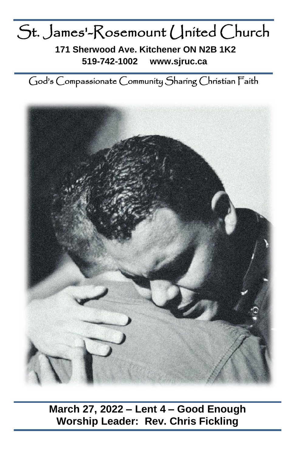# St. James'-Rosemount United Church

**171 Sherwood Ave. Kitchener ON N2B 1K2 519-742-1002 www.sjruc.ca**

God's Compassionate Community Sharing Christian Faith



**March 27, 2022 – Lent 4 – Good Enough Worship Leader: Rev. Chris Fickling**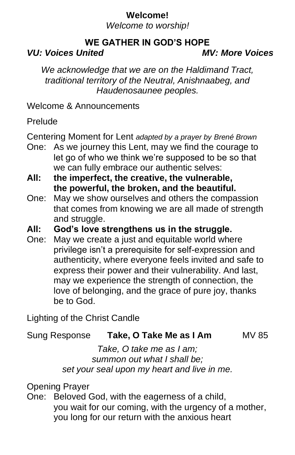# **Welcome!**

*Welcome to worship!*

### **WE GATHER IN GOD'S HOPE** *VU: Voices United MV: More Voices*

*We acknowledge that we are on the Haldimand Tract, traditional territory of the Neutral, Anishnaabeg, and Haudenosaunee peoples.*

Welcome & Announcements

Prelude

Centering Moment for Lent *adapted by a prayer by Brené Brown*

- One: As we journey this Lent, may we find the courage to let go of who we think we're supposed to be so that we can fully embrace our authentic selves:
- **All: the imperfect, the creative, the vulnerable, the powerful, the broken, and the beautiful.**
- One: May we show ourselves and others the compassion that comes from knowing we are all made of strength and struggle.
- **All: God's love strengthens us in the struggle.**
- One: May we create a just and equitable world where privilege isn't a prerequisite for self-expression and authenticity, where everyone feels invited and safe to express their power and their vulnerability. And last, may we experience the strength of connection, the love of belonging, and the grace of pure joy, thanks be to God.

Lighting of the Christ Candle

# Sung Response **Take, O Take Me as I Am** MV 85

*Take, O take me as I am;*

*summon out what I shall be; set your seal upon my heart and live in me.*

Opening Prayer

One: Beloved God, with the eagerness of a child, you wait for our coming, with the urgency of a mother, you long for our return with the anxious heart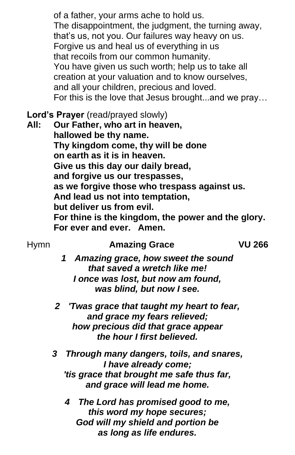of a father, your arms ache to hold us. The disappointment, the judgment, the turning away, that's us, not you. Our failures way heavy on us. Forgive us and heal us of everything in us that recoils from our common humanity. You have given us such worth; help us to take all creation at your valuation and to know ourselves, and all your children, precious and loved. For this is the love that Jesus brought...and we pray…

**Lord's Prayer** (read/prayed slowly)

**All: Our Father, who art in heaven, hallowed be thy name. Thy kingdom come, thy will be done on earth as it is in heaven. Give us this day our daily bread, and forgive us our trespasses, as we forgive those who trespass against us. And lead us not into temptation, but deliver us from evil. For thine is the kingdom, the power and the glory. For ever and ever. Amen.**

### Hymn **Amazing Grace VU 266**

- *1 Amazing grace, how sweet the sound that saved a wretch like me! I once was lost, but now am found, was blind, but now I see.*
- *2 'Twas grace that taught my heart to fear, and grace my fears relieved; how precious did that grace appear the hour I first believed.*
- *3 Through many dangers, toils, and snares, I have already come; 'tis grace that brought me safe thus far, and grace will lead me home.*
	- *4 The Lord has promised good to me, this word my hope secures; God will my shield and portion be as long as life endures.*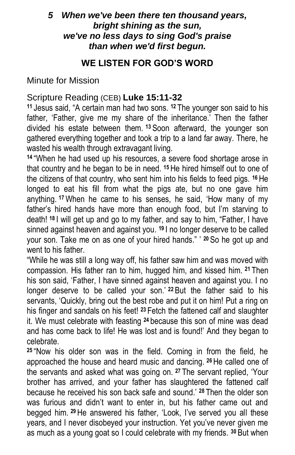### *5 When we've been there ten thousand years, bright shining as the sun, we've no less days to sing God's praise than when we'd first begun.*

## **WE LISTEN FOR GOD'S WORD**

Minute for Mission

### Scripture Reading (CEB) **Luke 15:11-32**

**<sup>11</sup>** Jesus said, "A certain man had two sons. **<sup>12</sup>** The younger son said to his father, 'Father, give me my share of the inheritance.' Then the father divided his estate between them. **<sup>13</sup>** Soon afterward, the younger son gathered everything together and took a trip to a land far away. There, he wasted his wealth through extravagant living.

**<sup>14</sup>** "When he had used up his resources, a severe food shortage arose in that country and he began to be in need. **<sup>15</sup>** He hired himself out to one of the citizens of that country, who sent him into his fields to feed pigs. **<sup>16</sup>** He longed to eat his fill from what the pigs ate, but no one gave him anything. **<sup>17</sup>**When he came to his senses, he said, 'How many of my father's hired hands have more than enough food, but I'm starving to death! **<sup>18</sup>** I will get up and go to my father, and say to him, "Father, I have sinned against heaven and against you. **<sup>19</sup>** I no longer deserve to be called your son. Take me on as one of your hired hands." ' **<sup>20</sup>** So he got up and went to his father.

"While he was still a long way off, his father saw him and was moved with compassion. His father ran to him, hugged him, and kissed him. **<sup>21</sup>** Then his son said, 'Father, I have sinned against heaven and against you. I no longer deserve to be called your son.' **<sup>22</sup>** But the father said to his servants, 'Quickly, bring out the best robe and put it on him! Put a ring on his finger and sandals on his feet! **<sup>23</sup>** Fetch the fattened calf and slaughter it. We must celebrate with feasting **<sup>24</sup>** because this son of mine was dead and has come back to life! He was lost and is found!' And they began to celebrate.

**<sup>25</sup>** "Now his older son was in the field. Coming in from the field, he approached the house and heard music and dancing. **<sup>26</sup>**He called one of the servants and asked what was going on. **<sup>27</sup>** The servant replied, 'Your brother has arrived, and your father has slaughtered the fattened calf because he received his son back safe and sound.' **<sup>28</sup>** Then the older son was furious and didn't want to enter in, but his father came out and begged him. **<sup>29</sup>** He answered his father, 'Look, I've served you all these years, and I never disobeyed your instruction. Yet you've never given me as much as a young goat so I could celebrate with my friends. **<sup>30</sup>** But when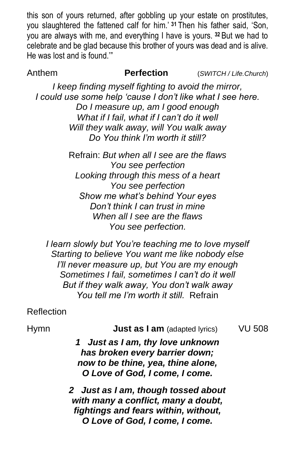this son of yours returned, after gobbling up your estate on prostitutes, you slaughtered the fattened calf for him.' **<sup>31</sup>** Then his father said, 'Son, you are always with me, and everything I have is yours. **<sup>32</sup>** But we had to celebrate and be glad because this brother of yours was dead and is alive. He was lost and is found.<sup>""</sup>

Anthem **Perfection** (*SWITCH / Life.Church*)

*I keep finding myself fighting to avoid the mirror, I could use some help 'cause I don't like what I see here. Do I measure up, am I good enough What if I fail, what if I can't do it well Will they walk away, will You walk away Do You think I'm worth it still?*

> Refrain: *But when all I see are the flaws You see perfection Looking through this mess of a heart You see perfection Show me what's behind Your eyes Don't think I can trust in mine When all I see are the flaws You see perfection.*

*I learn slowly but You're teaching me to love myself Starting to believe You want me like nobody else I'll never measure up, but You are my enough Sometimes I fail, sometimes I can't do it well But if they walk away, You don't walk away You tell me I'm worth it still.* Refrain

### Reflection

| Hymn | <b>Just as I am</b> (adapted lyrics) | <b>VU 508</b> |
|------|--------------------------------------|---------------|
|      |                                      |               |

*1 Just as I am, thy love unknown has broken every barrier down; now to be thine, yea, thine alone, O Love of God, I come, I come.*

*2 Just as I am, though tossed about with many a conflict, many a doubt, fightings and fears within, without, O Love of God, I come, I come.*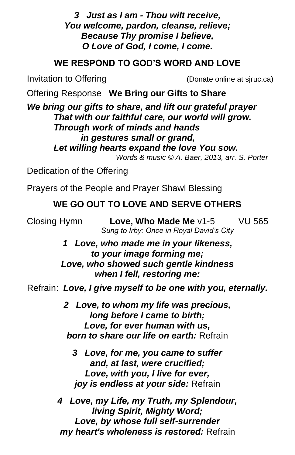*3 Just as I am - Thou wilt receive, You welcome, pardon, cleanse, relieve; Because Thy promise I believe, O Love of God, I come, I come.*

# **WE RESPOND TO GOD'S WORD AND LOVE**

Invitation to Offering (Donate online at sjruc.ca)

Offering Response **We Bring our Gifts to Share**

*We bring our gifts to share, and lift our grateful prayer That with our faithful care, our world will grow. Through work of minds and hands in gestures small or grand, Let willing hearts expand the love You sow.*

 *Words & music © A. Baer, 2013, arr. S. Porter*

Dedication of the Offering

Prayers of the People and Prayer Shawl Blessing

# **WE GO OUT TO LOVE AND SERVE OTHERS**

Closing Hymn **Love, Who Made Me** v1-5 VU 565 *Sung to Irby: Once in Royal David's City*

> *1 Love, who made me in your likeness, to your image forming me; Love, who showed such gentle kindness when I fell, restoring me:*

Refrain: *Love, I give myself to be one with you, eternally.*

*2 Love, to whom my life was precious, long before I came to birth; Love, for ever human with us, born to share our life on earth:* Refrain

*3 Love, for me, you came to suffer and, at last, were crucified; Love, with you, I live for ever, joy is endless at your side:* Refrain

*4 Love, my Life, my Truth, my Splendour, living Spirit, Mighty Word; Love, by whose full self-surrender my heart's wholeness is restored:* Refrain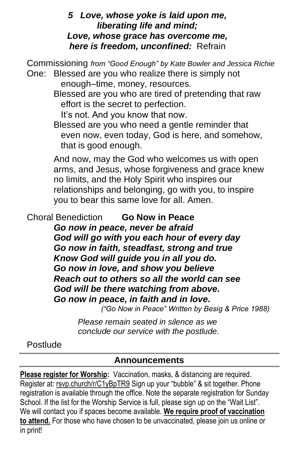### *5 Love, whose yoke is laid upon me, liberating life and mind; Love, whose grace has overcome me, here is freedom, unconfined:*Refrain

Commissioning *from "Good Enough" by Kate Bowler and Jessica Richie* One: Blessed are you who realize there is simply not

enough–time, money, resources.

Blessed are you who are tired of pretending that raw effort is the secret to perfection.

It's not. And you know that now.

Blessed are you who need a gentle reminder that even now, even today, God is here, and somehow, that is good enough.

And now, may the God who welcomes us with open arms, and Jesus, whose forgiveness and grace knew no limits, and the Holy Spirit who inspires our relationships and belonging, go with you, to inspire you to bear this same love for all. Amen.

Choral Benediction **Go Now in Peace** *Go now in peace, never be afraid God will go with you each hour of every day Go now in faith, steadfast, strong and true Know God will guide you in all you do. Go now in love, and show you believe Reach out to others so all the world can see God will be there watching from above. Go now in peace, in faith and in love.*

*("Go Now in Peace" Written by Besig & Price 1988)* 

*Please remain seated in silence as we conclude our service with the postlude.*

**Postlude** 

# **Announcements**

**Please register for Worship:** Vaccination, masks, & distancing are required. Register at: rsvp.church/r/C1yBpTR9 Sign up your "bubble" & sit together. Phone registration is available through the office. Note the separate registration for Sunday School. If the list for the Worship Service is full, please sign up on the "Wait List". We will contact you if spaces become available. **We require proof of vaccination to attend.** For those who have chosen to be unvaccinated, please join us online or in print!